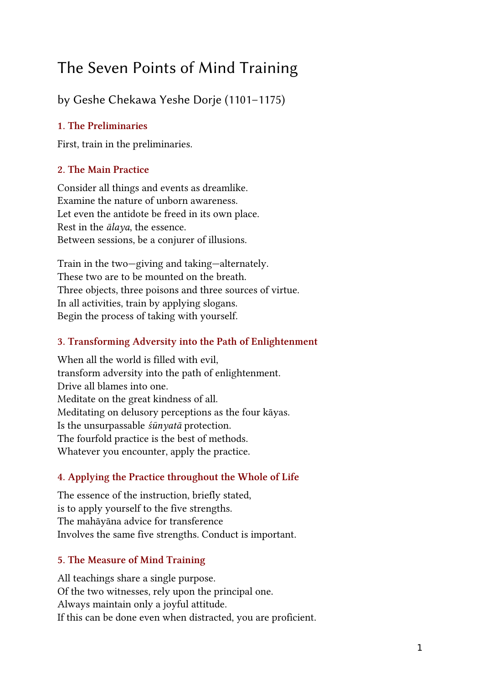# The Seven Points of Mind Training

by Geshe Chekawa Yeshe Dorje (1101–1175)

### 1. The Preliminaries

First, train in the preliminaries.

## 2. The Main Practice

Consider all things and events as dreamlike. Examine the nature of unborn awareness. Let even the antidote be freed in its own place. Rest in the  $\bar{a}$ laya, the essence. Between sessions, be a conjurer of illusions.

Train in the two—giving and taking—alternately. These two are to be mounted on the breath. Three objects, three poisons and three sources of virtue. In all activities, train by applying slogans. Begin the process of taking with yourself.

# 3. Transforming Adversity into the Path of Enlightenment

When all the world is filled with evil, transform adversity into the path of enlightenment. Drive all blames into one. Meditate on the great kindness of all. Meditating on delusory perceptions as the four kāyas. Is the unsurpassable śūnyatā protection. The fourfold practice is the best of methods. Whatever you encounter, apply the practice.

# 4. Applying the Practice throughout the Whole of Life

The essence of the instruction, briefly stated, is to apply yourself to the five strengths. The mahāyāna advice for transference Involves the same five strengths. Conduct is important.

# 5. The Measure of Mind Training

All teachings share a single purpose. Of the two witnesses, rely upon the principal one. Always maintain only a joyful attitude. If this can be done even when distracted, you are proficient.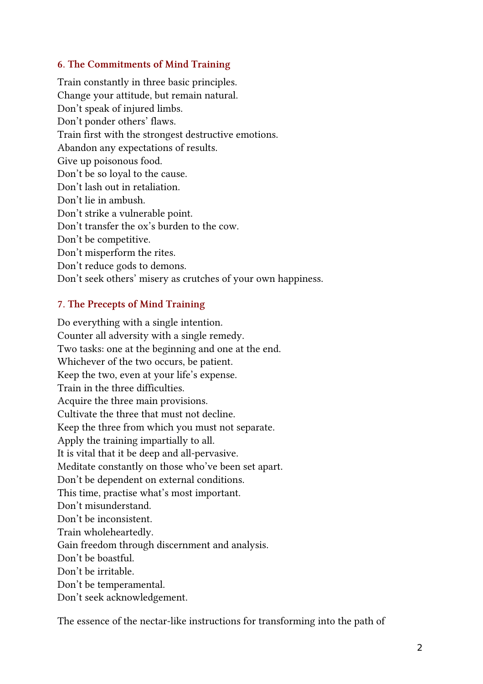#### 6. The Commitments of Mind Training

Train constantly in three basic principles. Change your attitude, but remain natural. Don't speak of injured limbs. Don't ponder others' flaws. Train first with the strongest destructive emotions. Abandon any expectations of results. Give up poisonous food. Don't be so loyal to the cause. Don't lash out in retaliation. Don't lie in ambush. Don't strike a vulnerable point. Don't transfer the ox's burden to the cow. Don't be competitive. Don't misperform the rites. Don't reduce gods to demons. Don't seek others' misery as crutches of your own happiness.

#### 7. The Precepts of Mind Training

Do everything with a single intention. Counter all adversity with a single remedy. Two tasks: one at the beginning and one at the end. Whichever of the two occurs, be patient. Keep the two, even at your life's expense. Train in the three difficulties. Acquire the three main provisions. Cultivate the three that must not decline. Keep the three from which you must not separate. Apply the training impartially to all. It is vital that it be deep and all-pervasive. Meditate constantly on those who've been set apart. Don't be dependent on external conditions. This time, practise what's most important. Don't misunderstand. Don't be inconsistent. Train wholeheartedly. Gain freedom through discernment and analysis. Don't be boastful. Don't be irritable. Don't be temperamental. Don't seek acknowledgement.

The essence of the nectar-like instructions for transforming into the path of